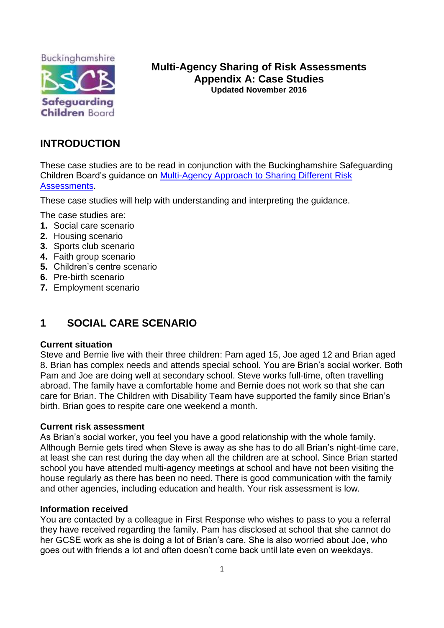

# **Multi-Agency Sharing of Risk Assessments Appendix A: Case Studies Updated November 2016**

# **INTRODUCTION**

These case studies are to be read in conjunction with the Buckinghamshire Safeguarding Children Board's guidance on [Multi-Agency Approach to Sharing Different Risk](http://bscb.procedures.org.uk/pkqlh/joint-working-procedures-and-guidance/multi-agency-sharing-of-risk-assessments-guidance)  [Assessments.](http://bscb.procedures.org.uk/pkqlh/joint-working-procedures-and-guidance/multi-agency-sharing-of-risk-assessments-guidance)

These case studies will help with understanding and interpreting the guidance.

The case studies are:

- **1.** Social care scenario
- **2.** Housing scenario
- **3.** Sports club scenario
- **4.** Faith group scenario
- **5.** Children's centre scenario
- **6.** Pre-birth scenario
- **7.** Employment scenario

# **1 SOCIAL CARE SCENARIO**

# **Current situation**

Steve and Bernie live with their three children: Pam aged 15, Joe aged 12 and Brian aged 8. Brian has complex needs and attends special school. You are Brian's social worker. Both Pam and Joe are doing well at secondary school. Steve works full-time, often travelling abroad. The family have a comfortable home and Bernie does not work so that she can care for Brian. The Children with Disability Team have supported the family since Brian's birth. Brian goes to respite care one weekend a month.

# **Current risk assessment**

As Brian's social worker, you feel you have a good relationship with the whole family. Although Bernie gets tired when Steve is away as she has to do all Brian's night-time care, at least she can rest during the day when all the children are at school. Since Brian started school you have attended multi-agency meetings at school and have not been visiting the house regularly as there has been no need. There is good communication with the family and other agencies, including education and health. Your risk assessment is low.

# **Information received**

You are contacted by a colleague in First Response who wishes to pass to you a referral they have received regarding the family. Pam has disclosed at school that she cannot do her GCSE work as she is doing a lot of Brian's care. She is also worried about Joe, who goes out with friends a lot and often doesn't come back until late even on weekdays.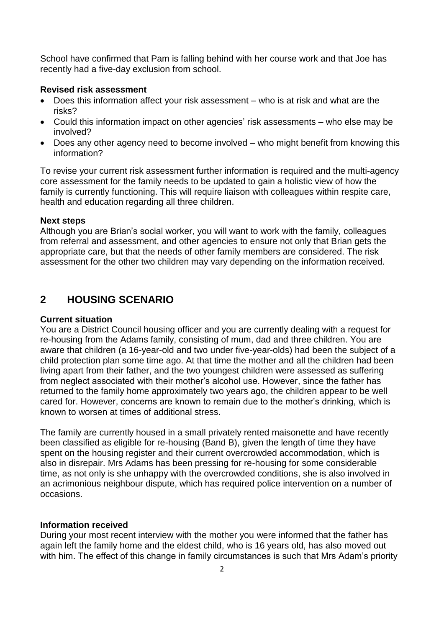School have confirmed that Pam is falling behind with her course work and that Joe has recently had a five-day exclusion from school.

## **Revised risk assessment**

- Does this information affect your risk assessment who is at risk and what are the risks?
- Could this information impact on other agencies' risk assessments who else may be involved?
- Does any other agency need to become involved who might benefit from knowing this information?

To revise your current risk assessment further information is required and the multi-agency core assessment for the family needs to be updated to gain a holistic view of how the family is currently functioning. This will require liaison with colleagues within respite care, health and education regarding all three children.

## **Next steps**

Although you are Brian's social worker, you will want to work with the family, colleagues from referral and assessment, and other agencies to ensure not only that Brian gets the appropriate care, but that the needs of other family members are considered. The risk assessment for the other two children may vary depending on the information received.

# **2 HOUSING SCENARIO**

### **Current situation**

You are a District Council housing officer and you are currently dealing with a request for re-housing from the Adams family, consisting of mum, dad and three children. You are aware that children (a 16-year-old and two under five-year-olds) had been the subject of a child protection plan some time ago. At that time the mother and all the children had been living apart from their father, and the two youngest children were assessed as suffering from neglect associated with their mother's alcohol use. However, since the father has returned to the family home approximately two years ago, the children appear to be well cared for. However, concerns are known to remain due to the mother's drinking, which is known to worsen at times of additional stress.

The family are currently housed in a small privately rented maisonette and have recently been classified as eligible for re-housing (Band B), given the length of time they have spent on the housing register and their current overcrowded accommodation, which is also in disrepair. Mrs Adams has been pressing for re-housing for some considerable time, as not only is she unhappy with the overcrowded conditions, she is also involved in an acrimonious neighbour dispute, which has required police intervention on a number of occasions.

### **Information received**

During your most recent interview with the mother you were informed that the father has again left the family home and the eldest child, who is 16 years old, has also moved out with him. The effect of this change in family circumstances is such that Mrs Adam's priority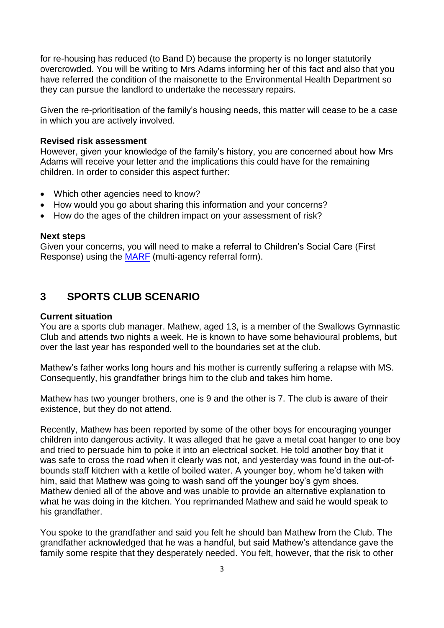for re-housing has reduced (to Band D) because the property is no longer statutorily overcrowded. You will be writing to Mrs Adams informing her of this fact and also that you have referred the condition of the maisonette to the Environmental Health Department so they can pursue the landlord to undertake the necessary repairs.

Given the re-prioritisation of the family's housing needs, this matter will cease to be a case in which you are actively involved.

#### **Revised risk assessment**

However, given your knowledge of the family's history, you are concerned about how Mrs Adams will receive your letter and the implications this could have for the remaining children. In order to consider this aspect further:

- Which other agencies need to know?
- How would you go about sharing this information and your concerns?
- How do the ages of the children impact on your assessment of risk?

#### **Next steps**

Given your concerns, you will need to make a referral to Children's Social Care (First Response) using the [MARF](http://www.bucks-lscb.org.uk/professionals/thresholds-document/) (multi-agency referral form).

# **3 SPORTS CLUB SCENARIO**

#### **Current situation**

You are a sports club manager. Mathew, aged 13, is a member of the Swallows Gymnastic Club and attends two nights a week. He is known to have some behavioural problems, but over the last year has responded well to the boundaries set at the club.

Mathew's father works long hours and his mother is currently suffering a relapse with MS. Consequently, his grandfather brings him to the club and takes him home.

Mathew has two younger brothers, one is 9 and the other is 7. The club is aware of their existence, but they do not attend.

Recently, Mathew has been reported by some of the other boys for encouraging younger children into dangerous activity. It was alleged that he gave a metal coat hanger to one boy and tried to persuade him to poke it into an electrical socket. He told another boy that it was safe to cross the road when it clearly was not, and yesterday was found in the out-ofbounds staff kitchen with a kettle of boiled water. A younger boy, whom he'd taken with him, said that Mathew was going to wash sand off the younger boy's gym shoes. Mathew denied all of the above and was unable to provide an alternative explanation to what he was doing in the kitchen. You reprimanded Mathew and said he would speak to his grandfather.

You spoke to the grandfather and said you felt he should ban Mathew from the Club. The grandfather acknowledged that he was a handful, but said Mathew's attendance gave the family some respite that they desperately needed. You felt, however, that the risk to other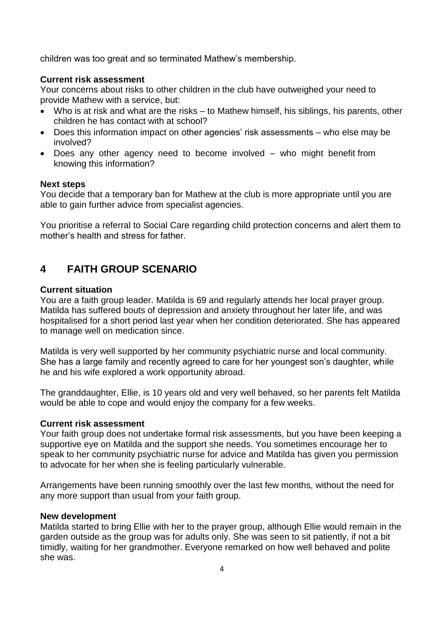children was too great and so terminated Mathew's membership.

# **Current risk assessment**

Your concerns about risks to other children in the club have outweighed your need to provide Mathew with a service, but:

- Who is at risk and what are the risks to Mathew himself, his siblings, his parents, other children he has contact with at school?
- Does this information impact on other agencies' risk assessments who else may be involved?
- Does any other agency need to become involved who might benefit from knowing this information?

## **Next steps**

You decide that a temporary ban for Mathew at the club is more appropriate until you are able to gain further advice from specialist agencies.

You prioritise a referral to Social Care regarding child protection concerns and alert them to mother's health and stress for father

# **4 FAITH GROUP SCENARIO**

## **Current situation**

You are a faith group leader. Matilda is 69 and regularly attends her local prayer group. Matilda has suffered bouts of depression and anxiety throughout her later life, and was hospitalised for a short period last year when her condition deteriorated. She has appeared to manage well on medication since.

Matilda is very well supported by her community psychiatric nurse and local community. She has a large family and recently agreed to care for her youngest son's daughter, while he and his wife explored a work opportunity abroad.

The granddaughter, Ellie, is 10 years old and very well behaved, so her parents felt Matilda would be able to cope and would enjoy the company for a few weeks.

# **Current risk assessment**

Your faith group does not undertake formal risk assessments, but you have been keeping a supportive eye on Matilda and the support she needs. You sometimes encourage her to speak to her community psychiatric nurse for advice and Matilda has given you permission to advocate for her when she is feeling particularly vulnerable.

Arrangements have been running smoothly over the last few months, without the need for any more support than usual from your faith group.

### **New development**

Matilda started to bring Ellie with her to the prayer group, although Ellie would remain in the garden outside as the group was for adults only. She was seen to sit patiently, if not a bit timidly, waiting for her grandmother. Everyone remarked on how well behaved and polite she was.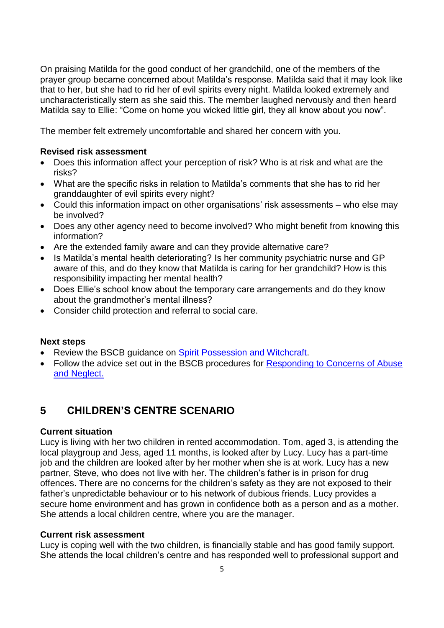On praising Matilda for the good conduct of her grandchild, one of the members of the prayer group became concerned about Matilda's response. Matilda said that it may look like that to her, but she had to rid her of evil spirits every night. Matilda looked extremely and uncharacteristically stern as she said this. The member laughed nervously and then heard Matilda say to Ellie: "Come on home you wicked little girl, they all know about you now".

The member felt extremely uncomfortable and shared her concern with you.

# **Revised risk assessment**

- Does this information affect your perception of risk? Who is at risk and what are the risks?
- What are the specific risks in relation to Matilda's comments that she has to rid her granddaughter of evil spirits every night?
- Could this information impact on other organisations' risk assessments who else may be involved?
- Does any other agency need to become involved? Who might benefit from knowing this information?
- Are the extended family aware and can they provide alternative care?
- Is Matilda's mental health deteriorating? Is her community psychiatric nurse and GP aware of this, and do they know that Matilda is caring for her grandchild? How is this responsibility impacting her mental health?
- Does Ellie's school know about the temporary care arrangements and do they know about the grandmother's mental illness?
- Consider child protection and referral to social care.

# **Next steps**

- Review the BSCB guidance on [Spirit Possession and Witchcraft.](http://bscb.procedures.org.uk/zkqso/harmful-practices-linked-to-faith-or-culture/child-abuse-linked-to-a-belief-in-spirit-possession-or-witchcraft-guidance)
- Follow the advice set out in the BSCB procedures for [Responding to Concerns of](http://bscb.procedures.org.uk/ykqzs/assessing-need-and-providing-help/responding-to-concerns-of-abuse-and-neglect-procedure) Abuse and [Neglect.](http://bscb.procedures.org.uk/ykqzs/assessing-need-and-providing-help/responding-to-concerns-of-abuse-and-neglect-procedure)

# **5 CHILDREN'S CENTRE SCENARIO**

# **Current situation**

Lucy is living with her two children in rented accommodation. Tom, aged 3, is attending the local playgroup and Jess, aged 11 months, is looked after by Lucy. Lucy has a part-time job and the children are looked after by her mother when she is at work. Lucy has a new partner, Steve, who does not live with her. The children's father is in prison for drug offences. There are no concerns for the children's safety as they are not exposed to their father's unpredictable behaviour or to his network of dubious friends. Lucy provides a secure home environment and has grown in confidence both as a person and as a mother. She attends a local children centre, where you are the manager.

### **Current risk assessment**

Lucy is coping well with the two children, is financially stable and has good family support. She attends the local children's centre and has responded well to professional support and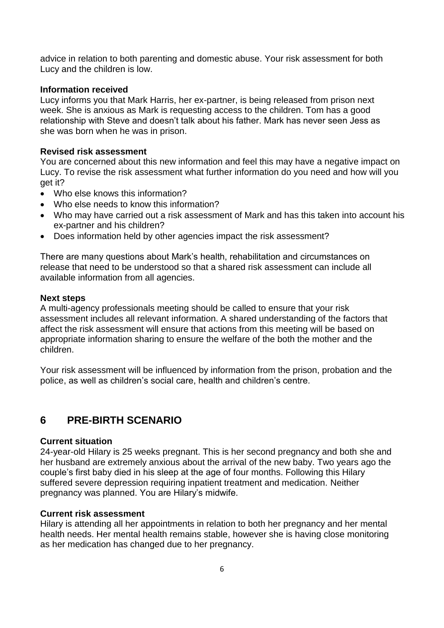advice in relation to both parenting and domestic abuse. Your risk assessment for both Lucy and the children is low.

## **Information received**

Lucy informs you that Mark Harris, her ex-partner, is being released from prison next week. She is anxious as Mark is requesting access to the children. Tom has a good relationship with Steve and doesn't talk about his father. Mark has never seen Jess as she was born when he was in prison.

## **Revised risk assessment**

You are concerned about this new information and feel this may have a negative impact on Lucy. To revise the risk assessment what further information do you need and how will you get it?

- Who else knows this information?
- Who else needs to know this information?
- Who may have carried out a risk assessment of Mark and has this taken into account his ex-partner and his children?
- Does information held by other agencies impact the risk assessment?

There are many questions about Mark's health, rehabilitation and circumstances on release that need to be understood so that a shared risk assessment can include all available information from all agencies.

### **Next steps**

A multi-agency professionals meeting should be called to ensure that your risk assessment includes all relevant information. A shared understanding of the factors that affect the risk assessment will ensure that actions from this meeting will be based on appropriate information sharing to ensure the welfare of the both the mother and the children.

Your risk assessment will be influenced by information from the prison, probation and the police, as well as children's social care, health and children's centre.

# **6 PRE-BIRTH SCENARIO**

## **Current situation**

24-year-old Hilary is 25 weeks pregnant. This is her second pregnancy and both she and her husband are extremely anxious about the arrival of the new baby. Two years ago the couple's first baby died in his sleep at the age of four months. Following this Hilary suffered severe depression requiring inpatient treatment and medication. Neither pregnancy was planned. You are Hilary's midwife.

### **Current risk assessment**

Hilary is attending all her appointments in relation to both her pregnancy and her mental health needs. Her mental health remains stable, however she is having close monitoring as her medication has changed due to her pregnancy.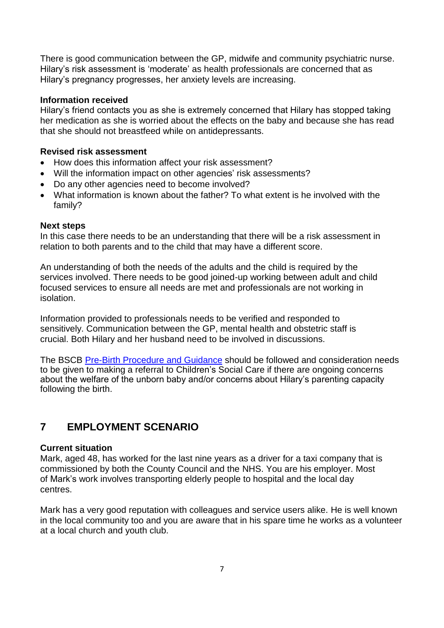There is good communication between the GP, midwife and community psychiatric nurse. Hilary's risk assessment is 'moderate' as health professionals are concerned that as Hilary's pregnancy progresses, her anxiety levels are increasing.

## **Information received**

Hilary's friend contacts you as she is extremely concerned that Hilary has stopped taking her medication as she is worried about the effects on the baby and because she has read that she should not breastfeed while on antidepressants.

## **Revised risk assessment**

- How does this information affect your risk assessment?
- Will the information impact on other agencies' risk assessments?
- Do any other agencies need to become involved?
- What information is known about the father? To what extent is he involved with the family?

### **Next steps**

In this case there needs to be an understanding that there will be a risk assessment in relation to both parents and to the child that may have a different score.

An understanding of both the needs of the adults and the child is required by the services involved. There needs to be good joined-up working between adult and child focused services to ensure all needs are met and professionals are not working in isolation.

Information provided to professionals needs to be verified and responded to sensitively. Communication between the GP, mental health and obstetric staff is crucial. Both Hilary and her husband need to be involved in discussions.

The BSCB [Pre-Birth Procedure](http://bscb.procedures.org.uk/ykqhp/assessing-need-and-providing-help/pre-birth-procedures-and-guidance-procedure) and Guidance should be followed and consideration needs to be given to making a referral to Children's Social Care if there are ongoing concerns about the welfare of the unborn baby and/or concerns about Hilary's parenting capacity following the birth.

# **7 EMPLOYMENT SCENARIO**

### **Current situation**

Mark, aged 48, has worked for the last nine years as a driver for a taxi company that is commissioned by both the County Council and the NHS. You are his employer. Most of Mark's work involves transporting elderly people to hospital and the local day centres.

Mark has a very good reputation with colleagues and service users alike. He is well known in the local community too and you are aware that in his spare time he works as a volunteer at a local church and youth club.